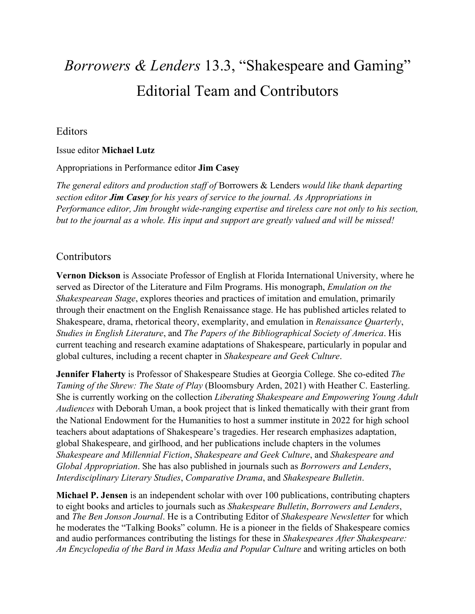# *Borrowers & Lenders* 13.3, "Shakespeare and Gaming" Editorial Team and Contributors

## Editors

#### Issue editor **Michael Lutz**

#### Appropriations in Performance editor **Jim Casey**

*The general editors and production staff of* Borrowers & Lenders *would like thank departing section editor Jim Casey for his years of service to the journal. As Appropriations in Performance editor, Jim brought wide-ranging expertise and tireless care not only to his section, but to the journal as a whole. His input and support are greatly valued and will be missed!*

### Contributors

**Vernon Dickson** is Associate Professor of English at Florida International University, where he served as Director of the Literature and Film Programs. His monograph, *Emulation on the Shakespearean Stage*, explores theories and practices of imitation and emulation, primarily through their enactment on the English Renaissance stage. He has published articles related to Shakespeare, drama, rhetorical theory, exemplarity, and emulation in *Renaissance Quarterly*, *Studies in English Literature*, and *The Papers of the Bibliographical Society of America*. His current teaching and research examine adaptations of Shakespeare, particularly in popular and global cultures, including a recent chapter in *Shakespeare and Geek Culture*.

**Jennifer Flaherty** is Professor of Shakespeare Studies at Georgia College. She co-edited *The Taming of the Shrew: The State of Play* (Bloomsbury Arden, 2021) with Heather C. Easterling. She is currently working on the collection *Liberating Shakespeare and Empowering Young Adult Audiences* with Deborah Uman, a book project that is linked thematically with their grant from the National Endowment for the Humanities to host a summer institute in 2022 for high school teachers about adaptations of Shakespeare's tragedies. Her research emphasizes adaptation, global Shakespeare, and girlhood, and her publications include chapters in the volumes *Shakespeare and Millennial Fiction*, *Shakespeare and Geek Culture*, and *Shakespeare and Global Appropriation*. She has also published in journals such as *Borrowers and Lenders*, *Interdisciplinary Literary Studies*, *Comparative Drama*, and *Shakespeare Bulletin*.

**Michael P. Jensen** is an independent scholar with over 100 publications, contributing chapters to eight books and articles to journals such as *Shakespeare Bulletin*, *Borrowers and Lenders*, and *The Ben Jonson Journal*. He is a Contributing Editor of *Shakespeare Newsletter* for which he moderates the "Talking Books" column. He is a pioneer in the fields of Shakespeare comics and audio performances contributing the listings for these in *Shakespeares After Shakespeare: An Encyclopedia of the Bard in Mass Media and Popular Culture* and writing articles on both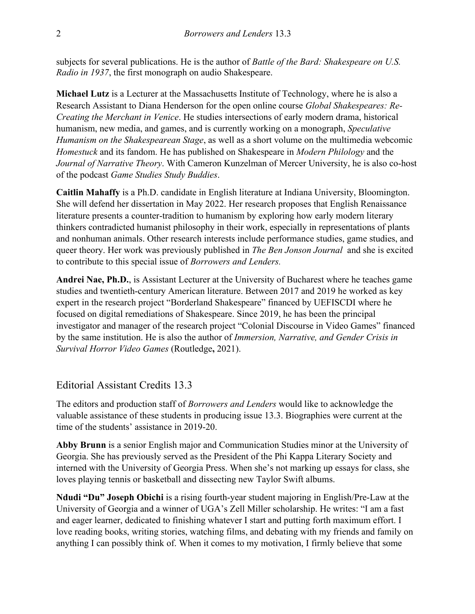subjects for several publications. He is the author of *Battle of the Bard: Shakespeare on U.S. Radio in 1937*, the first monograph on audio Shakespeare.

**Michael Lutz** is a Lecturer at the Massachusetts Institute of Technology, where he is also a Research Assistant to Diana Henderson for the open online course *Global Shakespeares: Re-Creating the Merchant in Venice*. He studies intersections of early modern drama, historical humanism, new media, and games, and is currently working on a monograph, *Speculative Humanism on the Shakespearean Stage*, as well as a short volume on the multimedia webcomic *Homestuck* and its fandom. He has published on Shakespeare in *Modern Philology* and the *Journal of Narrative Theory*. With Cameron Kunzelman of Mercer University, he is also co-host of the podcast *Game Studies Study Buddies*.

**Caitlin Mahaffy** is a Ph.D. candidate in English literature at Indiana University, Bloomington. She will defend her dissertation in May 2022. Her research proposes that English Renaissance literature presents a counter-tradition to humanism by exploring how early modern literary thinkers contradicted humanist philosophy in their work, especially in representations of plants and nonhuman animals. Other research interests include performance studies, game studies, and queer theory. Her work was previously published in *The Ben Jonson Journal* and she is excited to contribute to this special issue of *Borrowers and Lenders.*

**Andrei Nae, Ph.D.**, is Assistant Lecturer at the University of Bucharest where he teaches game studies and twentieth-century American literature. Between 2017 and 2019 he worked as key expert in the research project "Borderland Shakespeare" financed by UEFISCDI where he focused on digital remediations of Shakespeare. Since 2019, he has been the principal investigator and manager of the research project "Colonial Discourse in Video Games" financed by the same institution. He is also the author of *Immersion, Narrative, and Gender Crisis in Survival Horror Video Games* (Routledge**,** 2021).

#### Editorial Assistant Credits 13.3

The editors and production staff of *Borrowers and Lenders* would like to acknowledge the valuable assistance of these students in producing issue 13.3. Biographies were current at the time of the students' assistance in 2019-20.

**Abby Brunn** is a senior English major and Communication Studies minor at the University of Georgia. She has previously served as the President of the Phi Kappa Literary Society and interned with the University of Georgia Press. When she's not marking up essays for class, she loves playing tennis or basketball and dissecting new Taylor Swift albums.

**Ndudi "Du" Joseph Obichi** is a rising fourth-year student majoring in English/Pre-Law at the University of Georgia and a winner of UGA's Zell Miller scholarship. He writes: "I am a fast and eager learner, dedicated to finishing whatever I start and putting forth maximum effort. I love reading books, writing stories, watching films, and debating with my friends and family on anything I can possibly think of. When it comes to my motivation, I firmly believe that some